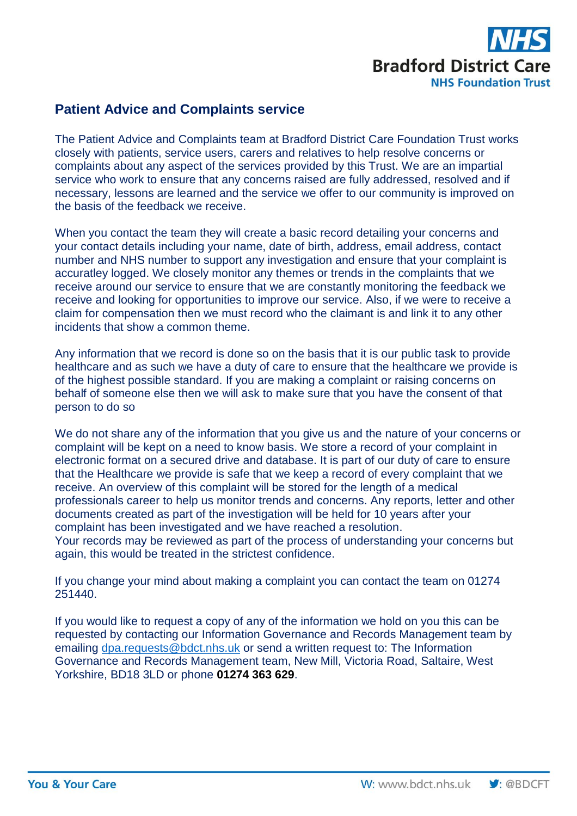

## **Patient Advice and Complaints service**

The Patient Advice and Complaints team at Bradford District Care Foundation Trust works closely with patients, service users, carers and relatives to help resolve concerns or complaints about any aspect of the services provided by this Trust. We are an impartial service who work to ensure that any concerns raised are fully addressed, resolved and if necessary, lessons are learned and the service we offer to our community is improved on the basis of the feedback we receive.

When you contact the team they will create a basic record detailing your concerns and your contact details including your name, date of birth, address, email address, contact number and NHS number to support any investigation and ensure that your complaint is accuratley logged. We closely monitor any themes or trends in the complaints that we receive around our service to ensure that we are constantly monitoring the feedback we receive and looking for opportunities to improve our service. Also, if we were to receive a claim for compensation then we must record who the claimant is and link it to any other incidents that show a common theme.

Any information that we record is done so on the basis that it is our public task to provide healthcare and as such we have a duty of care to ensure that the healthcare we provide is of the highest possible standard. If you are making a complaint or raising concerns on behalf of someone else then we will ask to make sure that you have the consent of that person to do so

We do not share any of the information that you give us and the nature of your concerns or complaint will be kept on a need to know basis. We store a record of your complaint in electronic format on a secured drive and database. It is part of our duty of care to ensure that the Healthcare we provide is safe that we keep a record of every complaint that we receive. An overview of this complaint will be stored for the length of a medical professionals career to help us monitor trends and concerns. Any reports, letter and other documents created as part of the investigation will be held for 10 years after your complaint has been investigated and we have reached a resolution. Your records may be reviewed as part of the process of understanding your concerns but again, this would be treated in the strictest confidence.

If you change your mind about making a complaint you can contact the team on 01274 251440.

If you would like to request a copy of any of the information we hold on you this can be requested by contacting our Information Governance and Records Management team by emailing dpa.requests @bdct.nhs.uk or send a written request to: The Information Governance and Records Management team, New Mill, Victoria Road, Saltaire, West Yorkshire, BD18 3LD or phone **01274 363 629**.